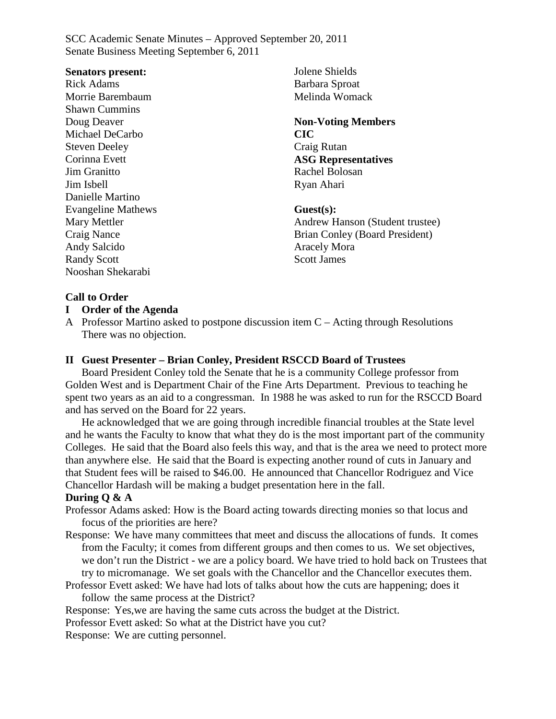### **Senators present:**

Rick Adams Morrie Barembaum Shawn Cummins Doug Deaver Michael DeCarbo Steven Deeley Corinna Evett Jim Granitto Jim Isbell Danielle Martino Evangeline Mathews Mary Mettler Craig Nance Andy Salcido Randy Scott Nooshan Shekarabi

Jolene Shields Barbara Sproat Melinda Womack

**Non-Voting Members CIC** Craig Rutan **ASG Representatives** Rachel Bolosan Ryan Ahari

**Guest(s):** Andrew Hanson (Student trustee) Brian Conley (Board President) Aracely Mora Scott James

# **Call to Order**

## **I Order of the Agenda**

A Professor Martino asked to postpone discussion item C – Acting through Resolutions There was no objection.

## **II Guest Presenter – Brian Conley, President RSCCD Board of Trustees**

Board President Conley told the Senate that he is a community College professor from Golden West and is Department Chair of the Fine Arts Department. Previous to teaching he spent two years as an aid to a congressman. In 1988 he was asked to run for the RSCCD Board and has served on the Board for 22 years.

He acknowledged that we are going through incredible financial troubles at the State level and he wants the Faculty to know that what they do is the most important part of the community Colleges. He said that the Board also feels this way, and that is the area we need to protect more than anywhere else. He said that the Board is expecting another round of cuts in January and that Student fees will be raised to \$46.00. He announced that Chancellor Rodriguez and Vice Chancellor Hardash will be making a budget presentation here in the fall.

### **During Q & A**

- Professor Adams asked: How is the Board acting towards directing monies so that locus and focus of the priorities are here?
- Response: We have many committees that meet and discuss the allocations of funds. It comes from the Faculty; it comes from different groups and then comes to us. We set objectives, we don't run the District - we are a policy board. We have tried to hold back on Trustees that try to micromanage. We set goals with the Chancellor and the Chancellor executes them.
- Professor Evett asked: We have had lots of talks about how the cuts are happening; does it follow the same process at the District?

Response: Yes,we are having the same cuts across the budget at the District.

Professor Evett asked: So what at the District have you cut?

Response: We are cutting personnel.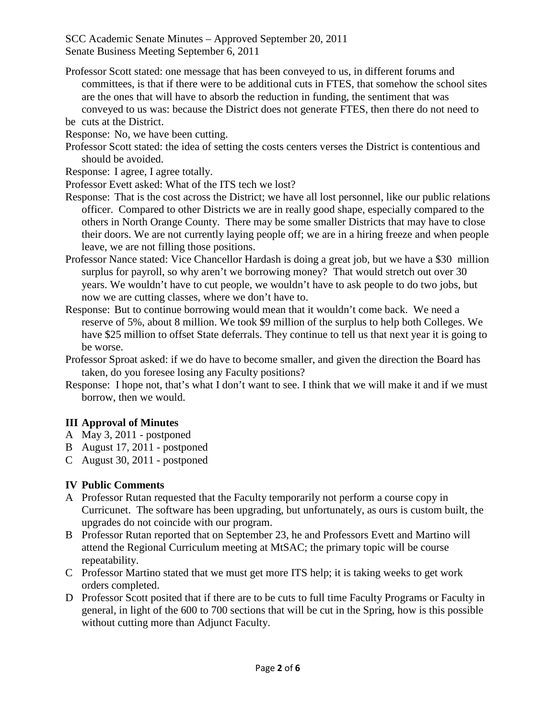- Professor Scott stated: one message that has been conveyed to us, in different forums and committees, is that if there were to be additional cuts in FTES, that somehow the school sites are the ones that will have to absorb the reduction in funding, the sentiment that was conveyed to us was: because the District does not generate FTES, then there do not need to be cuts at the District.
- Response: No, we have been cutting.
- Professor Scott stated: the idea of setting the costs centers verses the District is contentious and should be avoided.
- Response: I agree, I agree totally.
- Professor Evett asked: What of the ITS tech we lost?
- Response: That is the cost across the District; we have all lost personnel, like our public relations officer. Compared to other Districts we are in really good shape, especially compared to the others in North Orange County. There may be some smaller Districts that may have to close their doors. We are not currently laying people off; we are in a hiring freeze and when people leave, we are not filling those positions.
- Professor Nance stated: Vice Chancellor Hardash is doing a great job, but we have a \$30 million surplus for payroll, so why aren't we borrowing money? That would stretch out over 30 years. We wouldn't have to cut people, we wouldn't have to ask people to do two jobs, but now we are cutting classes, where we don't have to.
- Response: But to continue borrowing would mean that it wouldn't come back. We need a reserve of 5%, about 8 million. We took \$9 million of the surplus to help both Colleges. We have \$25 million to offset State deferrals. They continue to tell us that next year it is going to be worse.
- Professor Sproat asked: if we do have to become smaller, and given the direction the Board has taken, do you foresee losing any Faculty positions?
- Response: I hope not, that's what I don't want to see. I think that we will make it and if we must borrow, then we would.

# **III Approval of Minutes**

- A May 3, 2011 postponed
- B August 17, 2011 postponed
- C August 30, 2011 postponed

# **IV Public Comments**

- A Professor Rutan requested that the Faculty temporarily not perform a course copy in Curricunet. The software has been upgrading, but unfortunately, as ours is custom built, the upgrades do not coincide with our program.
- B Professor Rutan reported that on September 23, he and Professors Evett and Martino will attend the Regional Curriculum meeting at MtSAC; the primary topic will be course repeatability.
- C Professor Martino stated that we must get more ITS help; it is taking weeks to get work orders completed.
- D Professor Scott posited that if there are to be cuts to full time Faculty Programs or Faculty in general, in light of the 600 to 700 sections that will be cut in the Spring, how is this possible without cutting more than Adjunct Faculty.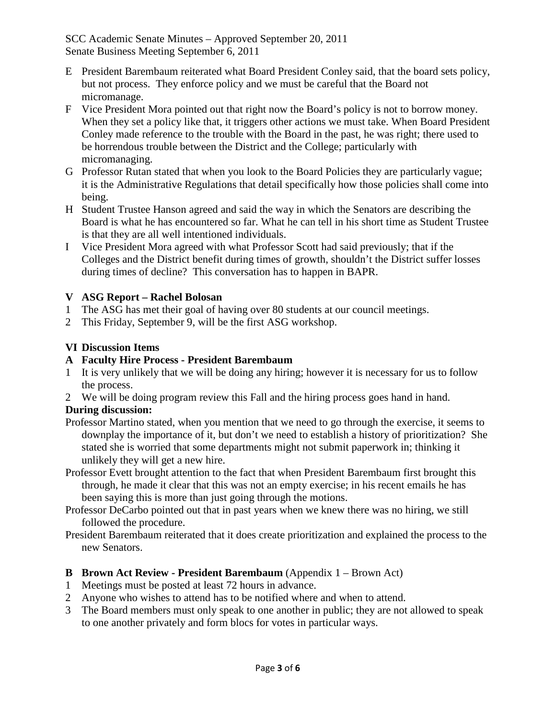- E President Barembaum reiterated what Board President Conley said, that the board sets policy, but not process. They enforce policy and we must be careful that the Board not micromanage.
- F Vice President Mora pointed out that right now the Board's policy is not to borrow money. When they set a policy like that, it triggers other actions we must take. When Board President Conley made reference to the trouble with the Board in the past, he was right; there used to be horrendous trouble between the District and the College; particularly with micromanaging.
- G Professor Rutan stated that when you look to the Board Policies they are particularly vague; it is the Administrative Regulations that detail specifically how those policies shall come into being.
- H Student Trustee Hanson agreed and said the way in which the Senators are describing the Board is what he has encountered so far. What he can tell in his short time as Student Trustee is that they are all well intentioned individuals.
- I Vice President Mora agreed with what Professor Scott had said previously; that if the Colleges and the District benefit during times of growth, shouldn't the District suffer losses during times of decline? This conversation has to happen in BAPR.

# **V ASG Report – Rachel Bolosan**

- 1 The ASG has met their goal of having over 80 students at our council meetings.
- 2 This Friday, September 9, will be the first ASG workshop.

# **VI Discussion Items**

# **A Faculty Hire Process - President Barembaum**

- 1 It is very unlikely that we will be doing any hiring; however it is necessary for us to follow the process.
- 2 We will be doing program review this Fall and the hiring process goes hand in hand.

# **During discussion:**

- Professor Martino stated, when you mention that we need to go through the exercise, it seems to downplay the importance of it, but don't we need to establish a history of prioritization? She stated she is worried that some departments might not submit paperwork in; thinking it unlikely they will get a new hire.
- Professor Evett brought attention to the fact that when President Barembaum first brought this through, he made it clear that this was not an empty exercise; in his recent emails he has been saying this is more than just going through the motions.
- Professor DeCarbo pointed out that in past years when we knew there was no hiring, we still followed the procedure.
- President Barembaum reiterated that it does create prioritization and explained the process to the new Senators.

# **B Brown Act Review - President Barembaum** (Appendix 1 – Brown Act)

- 1 Meetings must be posted at least 72 hours in advance.
- 2 Anyone who wishes to attend has to be notified where and when to attend.
- 3 The Board members must only speak to one another in public; they are not allowed to speak to one another privately and form blocs for votes in particular ways.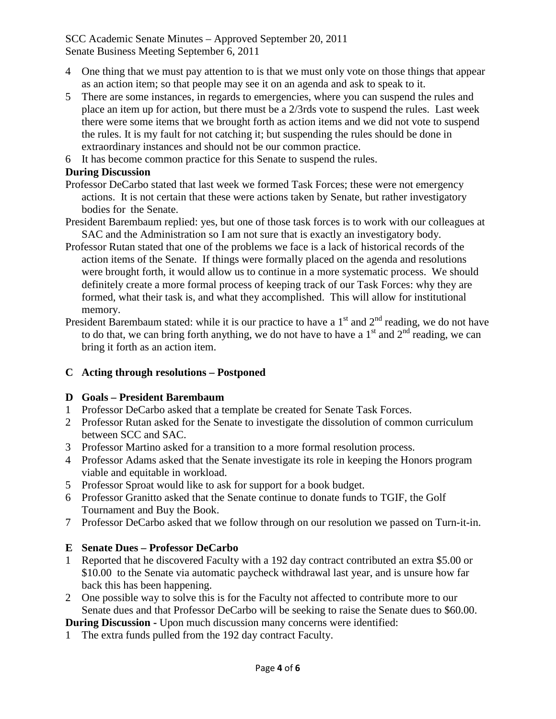- 4 One thing that we must pay attention to is that we must only vote on those things that appear as an action item; so that people may see it on an agenda and ask to speak to it.
- 5 There are some instances, in regards to emergencies, where you can suspend the rules and place an item up for action, but there must be a 2/3rds vote to suspend the rules. Last week there were some items that we brought forth as action items and we did not vote to suspend the rules. It is my fault for not catching it; but suspending the rules should be done in extraordinary instances and should not be our common practice.
- 6 It has become common practice for this Senate to suspend the rules.

# **During Discussion**

- Professor DeCarbo stated that last week we formed Task Forces; these were not emergency actions. It is not certain that these were actions taken by Senate, but rather investigatory bodies for the Senate.
- President Barembaum replied: yes, but one of those task forces is to work with our colleagues at SAC and the Administration so I am not sure that is exactly an investigatory body.
- Professor Rutan stated that one of the problems we face is a lack of historical records of the action items of the Senate. If things were formally placed on the agenda and resolutions were brought forth, it would allow us to continue in a more systematic process. We should definitely create a more formal process of keeping track of our Task Forces: why they are formed, what their task is, and what they accomplished. This will allow for institutional memory.
- President Barembaum stated: while it is our practice to have a  $1<sup>st</sup>$  and  $2<sup>nd</sup>$  reading, we do not have to do that, we can bring forth anything, we do not have to have a  $1<sup>st</sup>$  and  $2<sup>nd</sup>$  reading, we can bring it forth as an action item.

# **C Acting through resolutions – Postponed**

# **D Goals – President Barembaum**

- 1 Professor DeCarbo asked that a template be created for Senate Task Forces.
- 2 Professor Rutan asked for the Senate to investigate the dissolution of common curriculum between SCC and SAC.
- 3 Professor Martino asked for a transition to a more formal resolution process.
- 4 Professor Adams asked that the Senate investigate its role in keeping the Honors program viable and equitable in workload.
- 5 Professor Sproat would like to ask for support for a book budget.
- 6 Professor Granitto asked that the Senate continue to donate funds to TGIF, the Golf Tournament and Buy the Book.
- 7 Professor DeCarbo asked that we follow through on our resolution we passed on Turn-it-in.

# **E Senate Dues – Professor DeCarbo**

- 1 Reported that he discovered Faculty with a 192 day contract contributed an extra \$5.00 or \$10.00 to the Senate via automatic paycheck withdrawal last year, and is unsure how far back this has been happening.
- 2 One possible way to solve this is for the Faculty not affected to contribute more to our Senate dues and that Professor DeCarbo will be seeking to raise the Senate dues to \$60.00.

**During Discussion -** Upon much discussion many concerns were identified:

1 The extra funds pulled from the 192 day contract Faculty.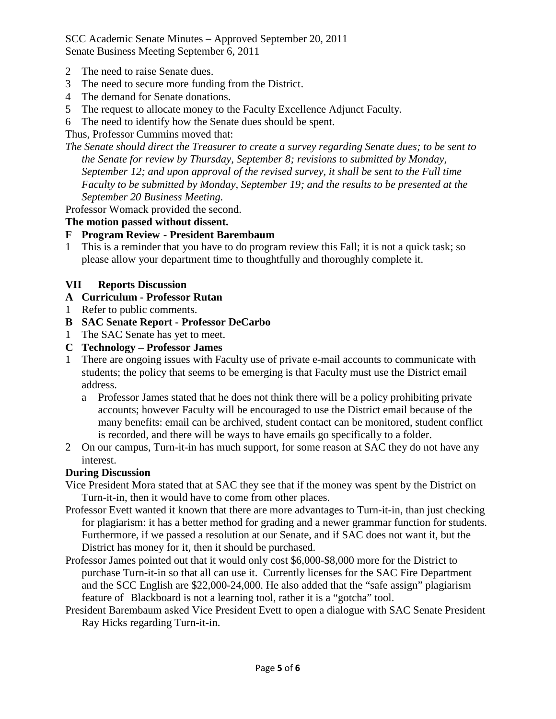- 2 The need to raise Senate dues.
- 3 The need to secure more funding from the District.
- 4 The demand for Senate donations.
- 5 The request to allocate money to the Faculty Excellence Adjunct Faculty.
- 6 The need to identify how the Senate dues should be spent.

Thus, Professor Cummins moved that:

*The Senate should direct the Treasurer to create a survey regarding Senate dues; to be sent to the Senate for review by Thursday, September 8; revisions to submitted by Monday, September 12; and upon approval of the revised survey, it shall be sent to the Full time Faculty to be submitted by Monday, September 19; and the results to be presented at the September 20 Business Meeting.*

Professor Womack provided the second.

# **The motion passed without dissent.**

## **F Program Review - President Barembaum**

1 This is a reminder that you have to do program review this Fall; it is not a quick task; so please allow your department time to thoughtfully and thoroughly complete it.

## **VII Reports Discussion**

- **A Curriculum - Professor Rutan**
- 1 Refer to public comments.
- **B SAC Senate Report - Professor DeCarbo**
- 1 The SAC Senate has yet to meet.
- **C Technology – Professor James**
- 1 There are ongoing issues with Faculty use of private e-mail accounts to communicate with students; the policy that seems to be emerging is that Faculty must use the District email address.
	- a Professor James stated that he does not think there will be a policy prohibiting private accounts; however Faculty will be encouraged to use the District email because of the many benefits: email can be archived, student contact can be monitored, student conflict is recorded, and there will be ways to have emails go specifically to a folder.
- 2 On our campus, Turn-it-in has much support, for some reason at SAC they do not have any interest.

# **During Discussion**

- Vice President Mora stated that at SAC they see that if the money was spent by the District on Turn-it-in, then it would have to come from other places.
- Professor Evett wanted it known that there are more advantages to Turn-it-in, than just checking for plagiarism: it has a better method for grading and a newer grammar function for students. Furthermore, if we passed a resolution at our Senate, and if SAC does not want it, but the District has money for it, then it should be purchased.
- Professor James pointed out that it would only cost \$6,000-\$8,000 more for the District to purchase Turn-it-in so that all can use it. Currently licenses for the SAC Fire Department and the SCC English are \$22,000-24,000. He also added that the "safe assign" plagiarism feature of Blackboard is not a learning tool, rather it is a "gotcha" tool.
- President Barembaum asked Vice President Evett to open a dialogue with SAC Senate President Ray Hicks regarding Turn-it-in.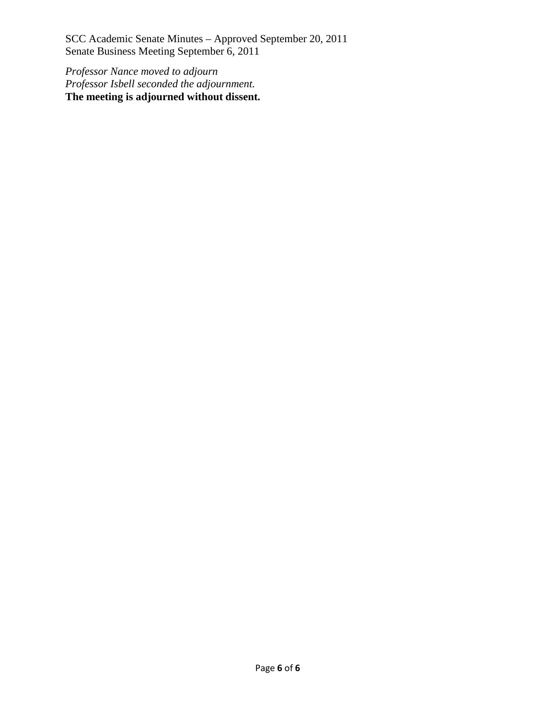*Professor Nance moved to adjourn Professor Isbell seconded the adjournment.* **The meeting is adjourned without dissent.**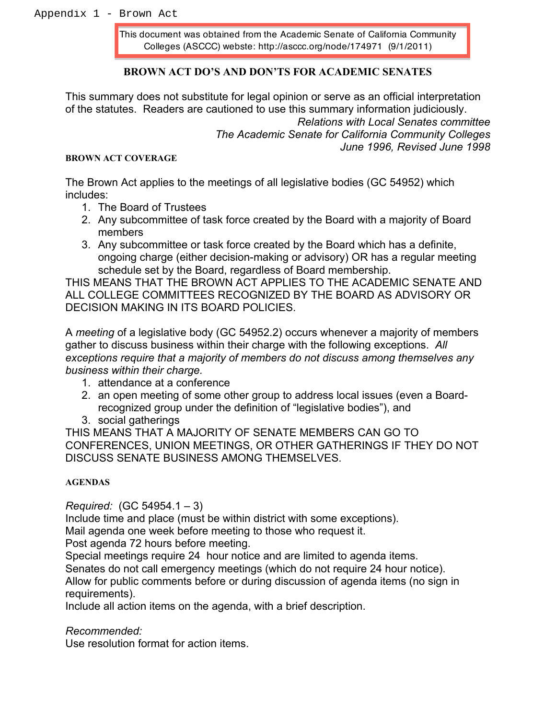This document was obtained from the Academic Senate of California Community Colleges (ASCCC) webste: http://asccc.org/node/174971 (9/1/2011)

## **BROWN ACT DO'S AND DON'TS FOR ACADEMIC SENATES**

This summary does not substitute for legal opinion or serve as an official interpretation of the statutes. Readers are cautioned to use this summary information judiciously. **Relations with Local Senates committee** The Academic Senate for California Community Colleges June 1996. Revised June 1998

#### **BROWN ACT COVERAGE**

The Brown Act applies to the meetings of all legislative bodies (GC 54952) which includes:

- 1. The Board of Trustees
- 2. Any subcommittee of task force created by the Board with a majority of Board members
- 3. Any subcommittee or task force created by the Board which has a definite, ongoing charge (either decision-making or advisory) OR has a regular meeting schedule set by the Board, regardless of Board membership.

THIS MEANS THAT THE BROWN ACT APPLIES TO THE ACADEMIC SENATE AND ALL COLLEGE COMMITTEES RECOGNIZED BY THE BOARD AS ADVISORY OR DECISION MAKING IN ITS BOARD POLICIES.

A meeting of a legislative body (GC 54952.2) occurs whenever a majority of members gather to discuss business within their charge with the following exceptions. All exceptions require that a majority of members do not discuss among themselves any business within their charge.

- 1. attendance at a conference
- 2. an open meeting of some other group to address local issues (even a Boardrecognized group under the definition of "legislative bodies"), and
- 3. social gatherings

THIS MEANS THAT A MAJORITY OF SENATE MEMBERS CAN GO TO CONFERENCES, UNION MEETINGS, OR OTHER GATHERINGS IF THEY DO NOT DISCUSS SENATE BUSINESS AMONG THEMSELVES.

### **AGENDAS**

Required:  $(GC 54954.1 - 3)$ 

Include time and place (must be within district with some exceptions).

Mail agenda one week before meeting to those who request it.

Post agenda 72 hours before meeting.

Special meetings require 24 hour notice and are limited to agenda items. Senates do not call emergency meetings (which do not require 24 hour notice). Allow for public comments before or during discussion of agenda items (no sign in requirements).

Include all action items on the agenda, with a brief description.

Recommended:

Use resolution format for action items.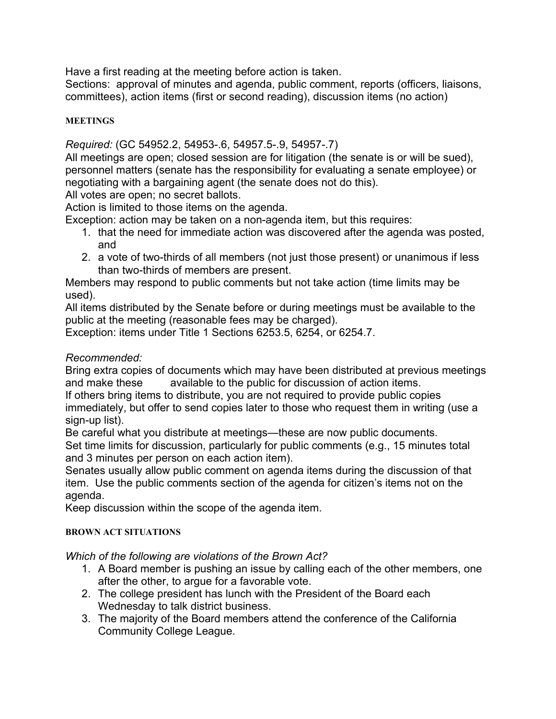Have a first reading at the meeting before action is taken.

Sections: approval of minutes and agenda, public comment, reports (officers, liaisons, committees), action items (first or second reading), discussion items (no action)

# **MEETINGS**

Required: (GC 54952.2, 54953-.6, 54957.5-.9, 54957-.7)

All meetings are open; closed session are for litigation (the senate is or will be sued), personnel matters (senate has the responsibility for evaluating a senate employee) or negotiating with a bargaining agent (the senate does not do this).

All votes are open; no secret ballots.

Action is limited to those items on the agenda.

Exception: action may be taken on a non-agenda item, but this requires:

- 1. that the need for immediate action was discovered after the agenda was posted, and
- 2. a vote of two-thirds of all members (not just those present) or unanimous if less than two-thirds of members are present.

Members may respond to public comments but not take action (time limits may be used).

All items distributed by the Senate before or during meetings must be available to the public at the meeting (reasonable fees may be charged).

Exception: items under Title 1 Sections 6253.5, 6254, or 6254.7.

# Recommended:

Bring extra copies of documents which may have been distributed at previous meetings available to the public for discussion of action items. and make these

If others bring items to distribute, you are not required to provide public copies immediately, but offer to send copies later to those who request them in writing (use a sian-up list).

Be careful what you distribute at meetings—these are now public documents. Set time limits for discussion, particularly for public comments (e.g., 15 minutes total and 3 minutes per person on each action item).

Senates usually allow public comment on agenda items during the discussion of that item. Use the public comments section of the agenda for citizen's items not on the agenda.

Keep discussion within the scope of the agenda item.

# **BROWN ACT SITUATIONS**

Which of the following are violations of the Brown Act?

- 1. A Board member is pushing an issue by calling each of the other members, one after the other, to argue for a favorable vote.
- 2. The college president has lunch with the President of the Board each Wednesday to talk district business.
- 3. The majority of the Board members attend the conference of the California **Community College League.**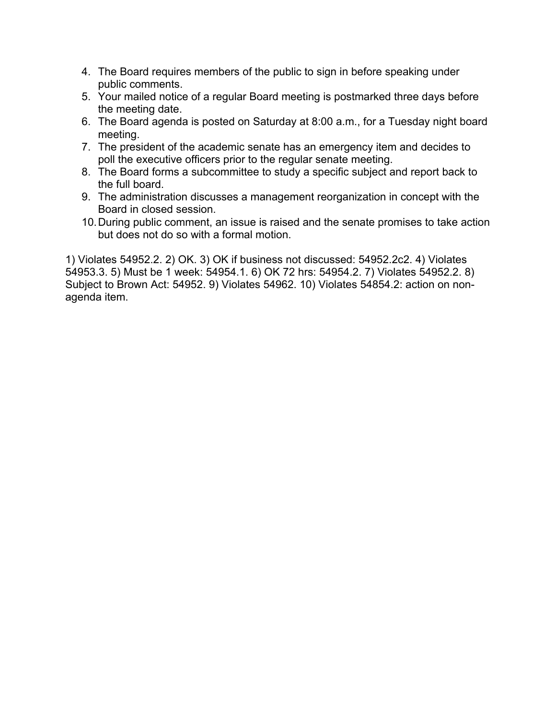- 4. The Board requires members of the public to sign in before speaking under public comments.
- 5. Your mailed notice of a regular Board meeting is postmarked three days before the meeting date.
- 6. The Board agenda is posted on Saturday at 8:00 a.m., for a Tuesday night board meeting.
- 7. The president of the academic senate has an emergency item and decides to poll the executive officers prior to the regular senate meeting.
- 8. The Board forms a subcommittee to study a specific subject and report back to the full board.
- 9. The administration discusses a management reorganization in concept with the Board in closed session.
- 10. During public comment, an issue is raised and the senate promises to take action but does not do so with a formal motion.

1) Violates 54952.2. 2) OK. 3) OK if business not discussed: 54952.2c2. 4) Violates 54953.3. 5) Must be 1 week: 54954.1. 6) OK 72 hrs: 54954.2. 7) Violates 54952.2. 8) Subject to Brown Act: 54952. 9) Violates 54962. 10) Violates 54854.2: action on nonagenda item.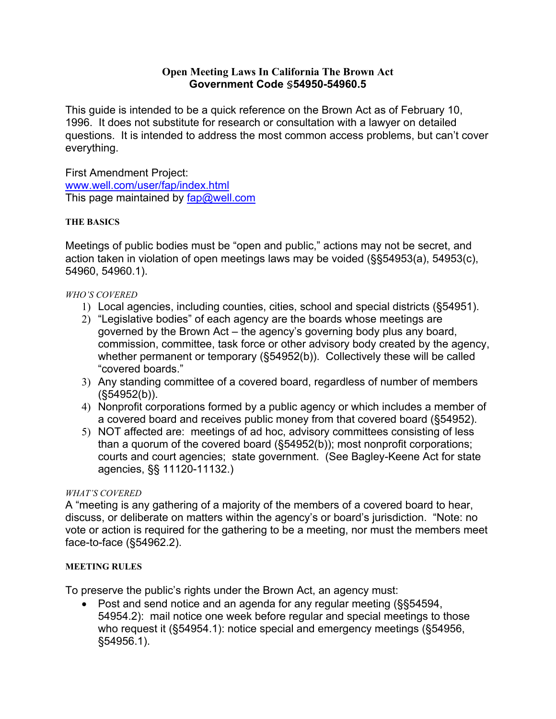## **Open Meeting Laws In California The Brown Act** Government Code \$54950-54960.5

This quide is intended to be a quick reference on the Brown Act as of February 10. 1996. It does not substitute for research or consultation with a lawyer on detailed questions. It is intended to address the most common access problems, but can't cover everything.

**First Amendment Project:** www.well.com/user/fap/index.html This page maintained by  $fap@well.com$ 

### **THE BASICS**

Meetings of public bodies must be "open and public," actions may not be secret, and action taken in violation of open meetings laws may be voided (§§54953(a), 54953(c), 54960, 54960.1).

### **WHO'S COVERED**

- 1) Local agencies, including counties, cities, school and special districts (§54951).
- 2) "Legislative bodies" of each agency are the boards whose meetings are governed by the Brown Act – the agency's governing body plus any board, commission, committee, task force or other advisory body created by the agency, whether permanent or temporary (§54952(b)). Collectively these will be called "covered boards."
- 3) Any standing committee of a covered board, regardless of number of members  $(S54952(b))$ .
- 4) Nonprofit corporations formed by a public agency or which includes a member of a covered board and receives public money from that covered board (§54952).
- 5) NOT affected are: meetings of ad hoc, advisory committees consisting of less than a quorum of the covered board (§54952(b)); most nonprofit corporations; courts and court agencies; state government. (See Bagley-Keene Act for state agencies, §§ 11120-11132.)

# **WHAT'S COVERED**

A "meeting is any gathering of a majority of the members of a covered board to hear, discuss, or deliberate on matters within the agency's or board's jurisdiction. "Note: no vote or action is required for the gathering to be a meeting, nor must the members meet face-to-face (§54962.2).

### **MEETING RULES**

To preserve the public's rights under the Brown Act, an agency must:

• Post and send notice and an agenda for any regular meeting (§§54594, 54954.2): mail notice one week before regular and special meetings to those who request it (§54954.1): notice special and emergency meetings (§54956, §54956.1).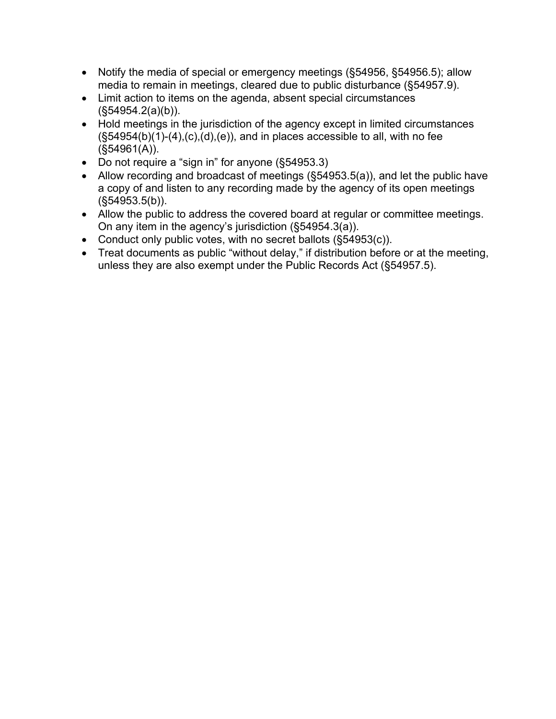- Notify the media of special or emergency meetings (§54956, §54956.5); allow media to remain in meetings, cleared due to public disturbance (§54957.9).
- Limit action to items on the agenda, absent special circumstances  $(S54954.2(a)(b)).$
- Hold meetings in the jurisdiction of the agency except in limited circumstances  $(\$54954(b)(1)-(4),(c),(d),(e))$ , and in places accessible to all, with no fee  $(S54961(A)).$
- Do not require a "sign in" for anyone (§54953.3)
- Allow recording and broadcast of meetings (§54953.5(a)), and let the public have a copy of and listen to any recording made by the agency of its open meetings  $(S54953.5(b))$ .
- Allow the public to address the covered board at regular or committee meetings. On any item in the agency's jurisdiction (§54954.3(a)).
- Conduct only public votes, with no secret ballots (§54953(c)).
- Treat documents as public "without delay," if distribution before or at the meeting, unless they are also exempt under the Public Records Act (§54957.5).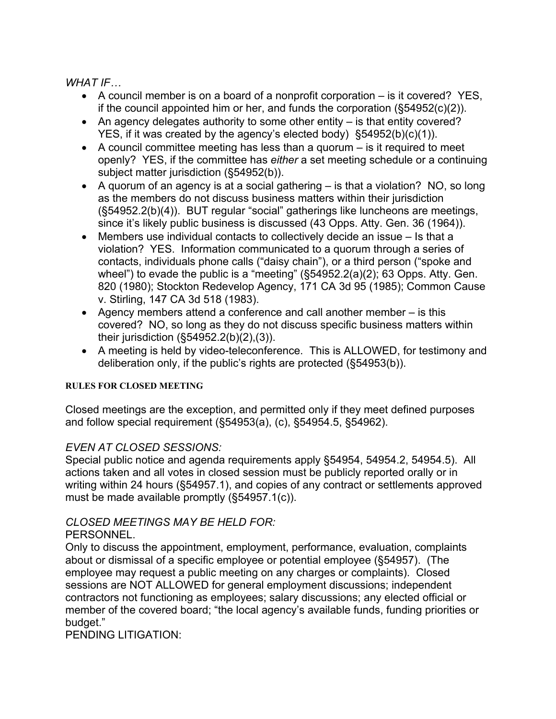WHAT IF...

- A council member is on a board of a nonprofit corporation  $-$  is it covered? YES. if the council appointed him or her, and funds the corporation  $(\$54952(c)(2))$ .
- An agency delegates authority to some other entity  $-$  is that entity covered? YES, if it was created by the agency's elected body)  $§54952(b)(c)(1)$ .
- A council committee meeting has less than a guorum  $-$  is it required to meet openly? YES, if the committee has either a set meeting schedule or a continuing subject matter jurisdiction (§54952(b)).
- A guorum of an agency is at a social gathering  $-$  is that a violation? NO, so long as the members do not discuss business matters within their jurisdiction (§54952.2(b)(4)). BUT regular "social" gatherings like luncheons are meetings, since it's likely public business is discussed (43 Opps. Atty. Gen. 36 (1964)).
- Members use individual contacts to collectively decide an issue  $-$  Is that a violation? YES. Information communicated to a quorum through a series of contacts, individuals phone calls ("daisy chain"), or a third person ("spoke and wheel") to evade the public is a "meeting"  $(\$54952.2(a)(2); 63$  Opps. Atty. Gen. 820 (1980); Stockton Redevelop Agency, 171 CA 3d 95 (1985); Common Cause v. Stirling, 147 CA 3d 518 (1983).
- Agency members attend a conference and call another member  $-$  is this covered? NO, so long as they do not discuss specific business matters within their jurisdiction  $(\$54952.2(b)(2),(3))$ .
- A meeting is held by video-teleconference. This is ALLOWED, for testimony and deliberation only, if the public's rights are protected (§54953(b)).

# **RULES FOR CLOSED MEETING**

Closed meetings are the exception, and permitted only if they meet defined purposes and follow special requirement (§54953(a), (c), §54954.5, §54962).

# **EVEN AT CLOSED SESSIONS:**

Special public notice and agenda requirements apply §54954, 54954.2, 54954.5). All actions taken and all votes in closed session must be publicly reported orally or in writing within 24 hours (§54957.1), and copies of any contract or settlements approved must be made available promptly  $(\S 54957.1(c))$ .

# **CLOSED MEETINGS MAY BE HELD FOR:**

# PERSONNEL.

Only to discuss the appointment, employment, performance, evaluation, complaints about or dismissal of a specific employee or potential employee (§54957). (The employee may request a public meeting on any charges or complaints). Closed sessions are NOT ALLOWED for general employment discussions; independent contractors not functioning as employees; salary discussions; any elected official or member of the covered board; "the local agency's available funds, funding priorities or budget."

PENDING LITIGATION: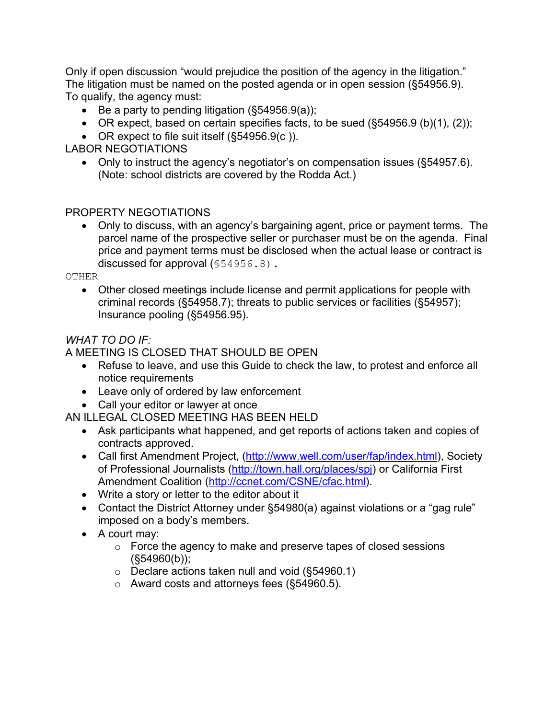Only if open discussion "would prejudice the position of the agency in the litigation." The litigation must be named on the posted agenda or in open session (§54956.9). To qualify, the agency must:

- Be a party to pending litigation  $(\S 54956.9(a))$ ;
- OR expect, based on certain specifies facts, to be sued  $(\S 54956.9 \text{ (b)}(1), (2))$ ;
- OR expect to file suit itself (§54956.9(c)).

# **LABOR NEGOTIATIONS**

• Only to instruct the agency's negotiator's on compensation issues (§54957.6). (Note: school districts are covered by the Rodda Act.)

# PROPERTY NEGOTIATIONS

• Only to discuss, with an agency's bargaining agent, price or payment terms. The parcel name of the prospective seller or purchaser must be on the agenda. Final price and payment terms must be disclosed when the actual lease or contract is discussed for approval  $(\$54956.8)$ .

**OTHER** 

• Other closed meetings include license and permit applications for people with criminal records (§54958.7); threats to public services or facilities (§54957); Insurance pooling (§54956.95).

# **WHAT TO DO IF:**

# A MEETING IS CLOSED THAT SHOULD BE OPEN.

- Refuse to leave, and use this Guide to check the law, to protest and enforce all notice requirements
- Leave only of ordered by law enforcement
- Call your editor or lawyer at once

AN ILLEGAL CLOSED MEETING HAS BEEN HELD

- Ask participants what happened, and get reports of actions taken and copies of contracts approved.
- Call first Amendment Project, (http://www.well.com/user/fap/index.html), Society of Professional Journalists (http://town.hall.org/places/spj) or California First Amendment Coalition (http://ccnet.com/CSNE/cfac.html).
- Write a story or letter to the editor about it
- Contact the District Attorney under §54980(a) against violations or a "gag rule" imposed on a body's members.
- A court may:
	- $\circ$  Force the agency to make and preserve tapes of closed sessions  $(S54960(b))$ ;
	- $\circ$  Declare actions taken null and void (§54960.1)
	- o Award costs and attorneys fees (§54960.5).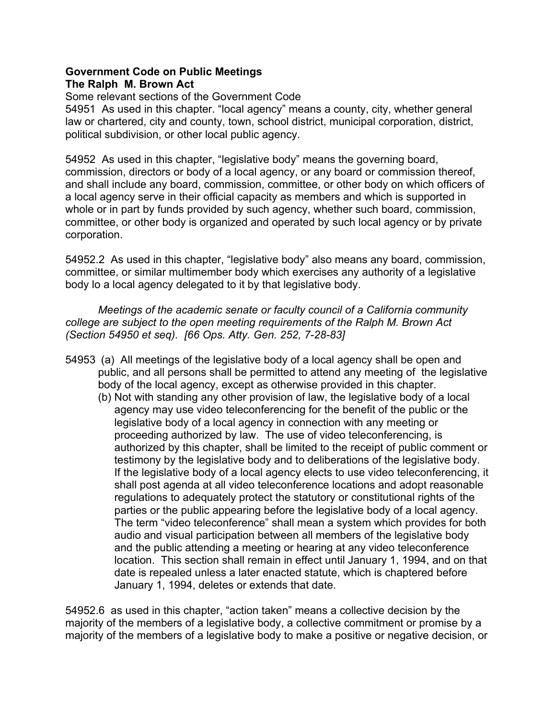### **Government Code on Public Meetings** The Ralph M. Brown Act

Some relevant sections of the Government Code 54951 As used in this chapter. "local agency" means a county, city, whether general law or chartered, city and county, town, school district, municipal corporation, district, political subdivision, or other local public agency.

54952 As used in this chapter, "legislative body" means the governing board, commission, directors or body of a local agency, or any board or commission thereof, and shall include any board, commission, committee, or other body on which officers of a local agency serve in their official capacity as members and which is supported in whole or in part by funds provided by such agency, whether such board, commission, committee, or other body is organized and operated by such local agency or by private corporation.

54952.2 As used in this chapter, "legislative body" also means any board, commission, committee, or similar multimember body which exercises any authority of a legislative body lo a local agency delegated to it by that legislative body.

Meetings of the academic senate or faculty council of a California community college are subject to the open meeting requirements of the Ralph M. Brown Act (Section 54950 et seg). [66 Ops. Atty. Gen. 252, 7-28-83]

- 54953 (a) All meetings of the legislative body of a local agency shall be open and public, and all persons shall be permitted to attend any meeting of the legislative body of the local agency, except as otherwise provided in this chapter.
	- (b) Not with standing any other provision of law, the legislative body of a local agency may use video teleconferencing for the benefit of the public or the legislative body of a local agency in connection with any meeting or proceeding authorized by law. The use of video teleconferencing, is authorized by this chapter, shall be limited to the receipt of public comment or testimony by the legislative body and to deliberations of the legislative body. If the legislative body of a local agency elects to use video teleconferencing, it shall post agenda at all video teleconference locations and adopt reasonable regulations to adequately protect the statutory or constitutional rights of the parties or the public appearing before the legislative body of a local agency. The term "video teleconference" shall mean a system which provides for both audio and visual participation between all members of the legislative body and the public attending a meeting or hearing at any video teleconference location. This section shall remain in effect until January 1, 1994, and on that date is repealed unless a later enacted statute, which is chaptered before January 1, 1994, deletes or extends that date.

54952.6 as used in this chapter, "action taken" means a collective decision by the majority of the members of a legislative body, a collective commitment or promise by a majority of the members of a legislative body to make a positive or negative decision, or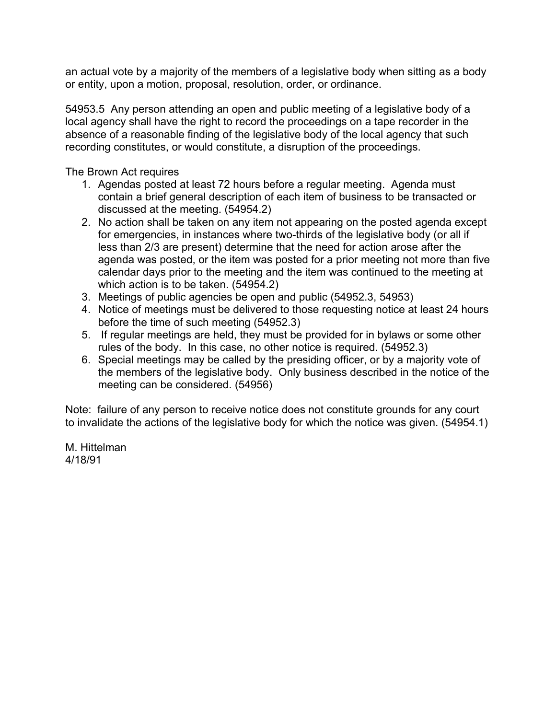an actual vote by a majority of the members of a legislative body when sitting as a body or entity, upon a motion, proposal, resolution, order, or ordinance.

54953.5 Any person attending an open and public meeting of a legislative body of a local agency shall have the right to record the proceedings on a tape recorder in the absence of a reasonable finding of the legislative body of the local agency that such recording constitutes, or would constitute, a disruption of the proceedings.

The Brown Act requires

- 1. Agendas posted at least 72 hours before a regular meeting. Agenda must contain a brief general description of each item of business to be transacted or discussed at the meeting. (54954.2)
- 2. No action shall be taken on any item not appearing on the posted agenda except for emergencies, in instances where two-thirds of the legislative body (or all if less than 2/3 are present) determine that the need for action arose after the agenda was posted, or the item was posted for a prior meeting not more than five calendar days prior to the meeting and the item was continued to the meeting at which action is to be taken. (54954.2)
- 3. Meetings of public agencies be open and public (54952.3, 54953)
- 4. Notice of meetings must be delivered to those requesting notice at least 24 hours before the time of such meeting (54952.3)
- 5. If regular meetings are held, they must be provided for in bylaws or some other rules of the body. In this case, no other notice is required. (54952.3)
- 6. Special meetings may be called by the presiding officer, or by a majority vote of the members of the legislative body. Only business described in the notice of the meeting can be considered. (54956)

Note: failure of any person to receive notice does not constitute grounds for any court to invalidate the actions of the legislative body for which the notice was given. (54954.1)

M. Hittelman 4/18/91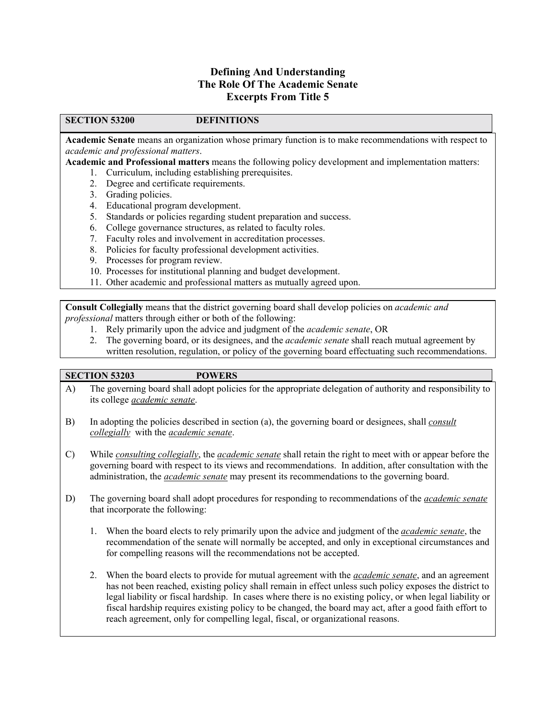## **Defining And Understanding** The Role Of The Academic Senate **Excerpts From Title 5**

#### **SECTION 53200**

#### **DEFINITIONS**

Academic Senate means an organization whose primary function is to make recommendations with respect to academic and professional matters.

Academic and Professional matters means the following policy development and implementation matters:

- 1. Curriculum, including establishing prerequisites.
- 2. Degree and certificate requirements.
- 3. Grading policies.
- 4. Educational program development.
- 5. Standards or policies regarding student preparation and success.
- 6. College governance structures, as related to faculty roles.
- 7. Faculty roles and involvement in accreditation processes.
- 8. Policies for faculty professional development activities.
- 9. Processes for program review.
- 10. Processes for institutional planning and budget development.
- 11. Other academic and professional matters as mutually agreed upon.

**Consult Collegially** means that the district governing board shall develop policies on *academic and professional* matters through either or both of the following:

- 1. Rely primarily upon the advice and judgment of the *academic senate*, OR
- 2. The governing board, or its designees, and the *academic senate* shall reach mutual agreement by written resolution, regulation, or policy of the governing board effectuating such recommendations.

#### **SECTION 53203**

#### **POWERS**

- The governing board shall adopt policies for the appropriate delegation of authority and responsibility to  $\bf{A}$ ) its college academic senate.
- $B)$ In adopting the policies described in section (a), the governing board or designees, shall *consult* collegially with the academic senate.
- $\mathcal{C}$ While consulting collegially, the academic senate shall retain the right to meet with or appear before the governing board with respect to its views and recommendations. In addition, after consultation with the administration, the *academic senate* may present its recommendations to the governing board.
- D) The governing board shall adopt procedures for responding to recommendations of the *academic senate* that incorporate the following:
	- 1. When the board elects to rely primarily upon the advice and judgment of the *academic senate*, the recommendation of the senate will normally be accepted, and only in exceptional circumstances and for compelling reasons will the recommendations not be accepted.
	- 2. When the board elects to provide for mutual agreement with the *academic senate*, and an agreement has not been reached, existing policy shall remain in effect unless such policy exposes the district to legal liability or fiscal hardship. In cases where there is no existing policy, or when legal liability or fiscal hardship requires existing policy to be changed, the board may act, after a good faith effort to reach agreement, only for compelling legal, fiscal, or organizational reasons.